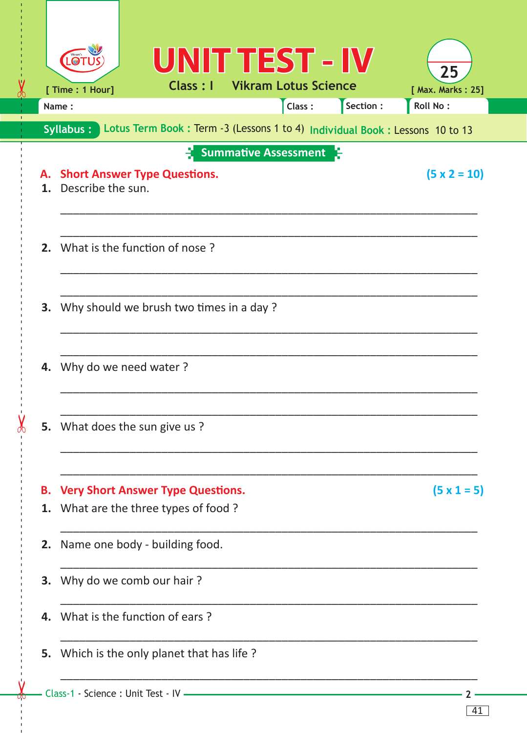|                                                                                            |                       |                                                                               | UNIT TEST - IV              |        |           | 25                  |  |  |  |
|--------------------------------------------------------------------------------------------|-----------------------|-------------------------------------------------------------------------------|-----------------------------|--------|-----------|---------------------|--|--|--|
|                                                                                            | [ Time : 1 Hour]      | Class : I                                                                     | <b>Vikram Lotus Science</b> |        |           | [ Max. Marks: 25]   |  |  |  |
|                                                                                            | Name:                 |                                                                               |                             | Class: | Section : | Roll No:            |  |  |  |
| Lotus Term Book : Term -3 (Lessons 1 to 4) Individual Book : Lessons 10 to 13<br>Syllabus: |                       |                                                                               |                             |        |           |                     |  |  |  |
|                                                                                            |                       |                                                                               | <b>Summative Assessment</b> |        |           |                     |  |  |  |
| А.<br>$\mathbf 1$                                                                          | Describe the sun.     | <b>Short Answer Type Questions.</b>                                           |                             |        |           | $(5 \times 2 = 10)$ |  |  |  |
| 2.                                                                                         |                       | What is the function of nose?                                                 |                             |        |           |                     |  |  |  |
| 3.                                                                                         |                       | Why should we brush two times in a day?                                       |                             |        |           |                     |  |  |  |
| 4.                                                                                         | Why do we need water? |                                                                               |                             |        |           |                     |  |  |  |
|                                                                                            |                       | 5. What does the sun give us?                                                 |                             |        |           |                     |  |  |  |
|                                                                                            |                       |                                                                               |                             |        |           |                     |  |  |  |
| В.<br>1.                                                                                   |                       | <b>Very Short Answer Type Questions.</b><br>What are the three types of food? |                             |        |           | $(5 \times 1 = 5)$  |  |  |  |
| 2.                                                                                         |                       | Name one body - building food.                                                |                             |        |           |                     |  |  |  |
| 3.                                                                                         |                       | Why do we comb our hair?                                                      |                             |        |           |                     |  |  |  |
| 4.                                                                                         |                       | What is the function of ears?                                                 |                             |        |           |                     |  |  |  |
| 5.                                                                                         |                       | Which is the only planet that has life?                                       |                             |        |           |                     |  |  |  |
|                                                                                            |                       |                                                                               |                             |        |           |                     |  |  |  |

 $-2-$